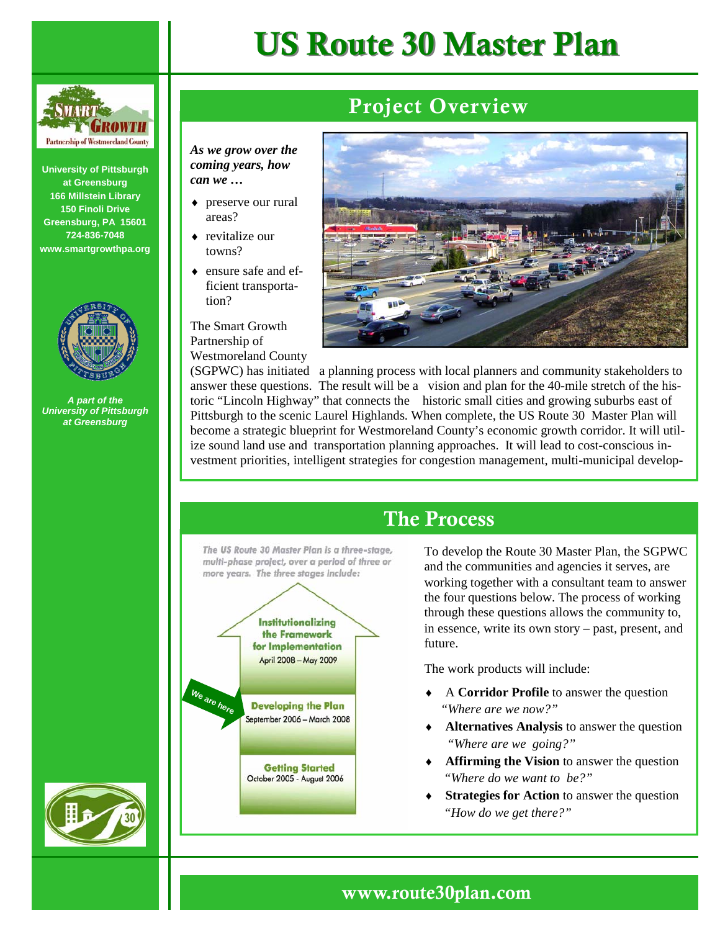

**University of Pittsburgh at Greensburg 166 Millstein Library 150 Finoli Drive Greensburg, PA 15601 724-836-7048 www.smartgrowthpa.org** 

*can we …* 

areas? ♦ revitalize our towns?

tion?

Partnership of

Westmoreland County



*A part of the University of Pittsburgh at Greensburg* 





## Project Overview

*As we grow over the coming years, how*  ♦ preserve our rural ensure safe and efficient transporta-The Smart Growth

(SGPWC) has initiated a planning process with local planners and community stakeholders to answer these questions. The result will be a vision and plan for the 40-mile stretch of the historic "Lincoln Highway" that connects the historic small cities and growing suburbs east of Pittsburgh to the scenic Laurel Highlands. When complete, the US Route 30 Master Plan will become a strategic blueprint for Westmoreland County's economic growth corridor. It will utilize sound land use and transportation planning approaches. It will lead to cost-conscious investment priorities, intelligent strategies for congestion management, multi-municipal develop-

# The Process

The US Route 30 Master Plan is a three-stage, multi-phase project, over a period of three or more years. The three stages include:



To develop the Route 30 Master Plan, the SGPWC and the communities and agencies it serves, are working together with a consultant team to answer the four questions below. The process of working through these questions allows the community to, in essence, write its own story – past, present, and future.

The work products will include:

- ♦ A **Corridor Profile** to answer the question *"Where are we now?"*
- ♦ **Alternatives Analysis** to answer the question  *"Where are we going?"*
- ♦ **Affirming the Vision** to answer the question  *"Where do we want to be?"*
- **Strategies for Action** to answer the question  *"How do we get there?"*



## www.route30plan.com